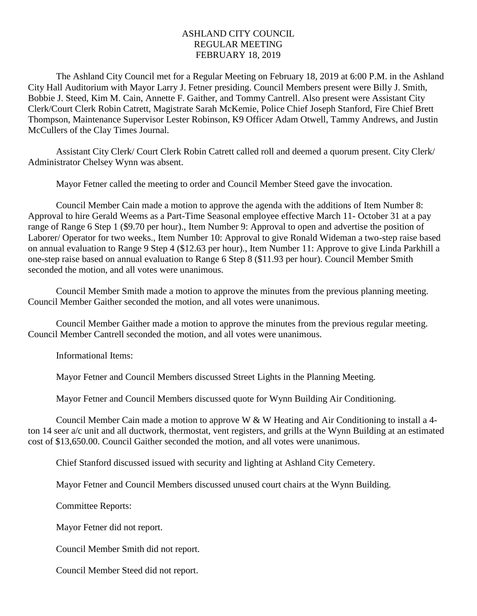## ASHLAND CITY COUNCIL REGULAR MEETING FEBRUARY 18, 2019

The Ashland City Council met for a Regular Meeting on February 18, 2019 at 6:00 P.M. in the Ashland City Hall Auditorium with Mayor Larry J. Fetner presiding. Council Members present were Billy J. Smith, Bobbie J. Steed, Kim M. Cain, Annette F. Gaither, and Tommy Cantrell. Also present were Assistant City Clerk/Court Clerk Robin Catrett, Magistrate Sarah McKemie, Police Chief Joseph Stanford, Fire Chief Brett Thompson, Maintenance Supervisor Lester Robinson, K9 Officer Adam Otwell, Tammy Andrews, and Justin McCullers of the Clay Times Journal.

Assistant City Clerk/ Court Clerk Robin Catrett called roll and deemed a quorum present. City Clerk/ Administrator Chelsey Wynn was absent.

Mayor Fetner called the meeting to order and Council Member Steed gave the invocation.

Council Member Cain made a motion to approve the agenda with the additions of Item Number 8: Approval to hire Gerald Weems as a Part-Time Seasonal employee effective March 11- October 31 at a pay range of Range 6 Step 1 (\$9.70 per hour)., Item Number 9: Approval to open and advertise the position of Laborer/ Operator for two weeks., Item Number 10: Approval to give Ronald Wideman a two-step raise based on annual evaluation to Range 9 Step 4 (\$12.63 per hour)., Item Number 11: Approve to give Linda Parkhill a one-step raise based on annual evaluation to Range 6 Step 8 (\$11.93 per hour). Council Member Smith seconded the motion, and all votes were unanimous.

Council Member Smith made a motion to approve the minutes from the previous planning meeting. Council Member Gaither seconded the motion, and all votes were unanimous.

Council Member Gaither made a motion to approve the minutes from the previous regular meeting. Council Member Cantrell seconded the motion, and all votes were unanimous.

Informational Items:

Mayor Fetner and Council Members discussed Street Lights in the Planning Meeting.

Mayor Fetner and Council Members discussed quote for Wynn Building Air Conditioning.

Council Member Cain made a motion to approve W & W Heating and Air Conditioning to install a 4 ton 14 seer a/c unit and all ductwork, thermostat, vent registers, and grills at the Wynn Building at an estimated cost of \$13,650.00. Council Gaither seconded the motion, and all votes were unanimous.

Chief Stanford discussed issued with security and lighting at Ashland City Cemetery.

Mayor Fetner and Council Members discussed unused court chairs at the Wynn Building.

Committee Reports:

Mayor Fetner did not report.

Council Member Smith did not report.

Council Member Steed did not report.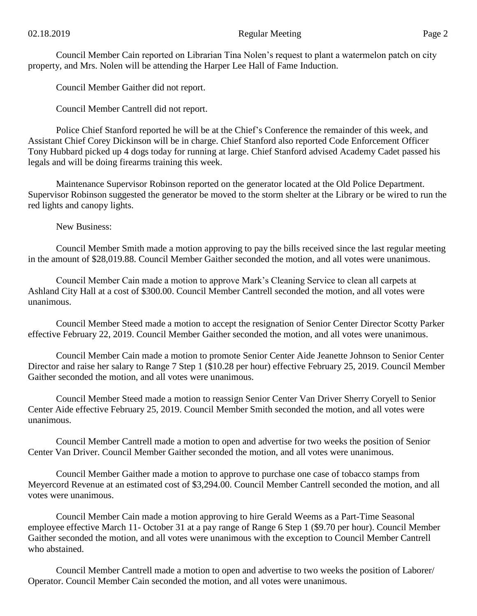Council Member Cain reported on Librarian Tina Nolen's request to plant a watermelon patch on city property, and Mrs. Nolen will be attending the Harper Lee Hall of Fame Induction.

Council Member Gaither did not report.

Council Member Cantrell did not report.

Police Chief Stanford reported he will be at the Chief's Conference the remainder of this week, and Assistant Chief Corey Dickinson will be in charge. Chief Stanford also reported Code Enforcement Officer Tony Hubbard picked up 4 dogs today for running at large. Chief Stanford advised Academy Cadet passed his legals and will be doing firearms training this week.

Maintenance Supervisor Robinson reported on the generator located at the Old Police Department. Supervisor Robinson suggested the generator be moved to the storm shelter at the Library or be wired to run the red lights and canopy lights.

New Business:

Council Member Smith made a motion approving to pay the bills received since the last regular meeting in the amount of \$28,019.88. Council Member Gaither seconded the motion, and all votes were unanimous.

Council Member Cain made a motion to approve Mark's Cleaning Service to clean all carpets at Ashland City Hall at a cost of \$300.00. Council Member Cantrell seconded the motion, and all votes were unanimous.

Council Member Steed made a motion to accept the resignation of Senior Center Director Scotty Parker effective February 22, 2019. Council Member Gaither seconded the motion, and all votes were unanimous.

Council Member Cain made a motion to promote Senior Center Aide Jeanette Johnson to Senior Center Director and raise her salary to Range 7 Step 1 (\$10.28 per hour) effective February 25, 2019. Council Member Gaither seconded the motion, and all votes were unanimous.

Council Member Steed made a motion to reassign Senior Center Van Driver Sherry Coryell to Senior Center Aide effective February 25, 2019. Council Member Smith seconded the motion, and all votes were unanimous.

Council Member Cantrell made a motion to open and advertise for two weeks the position of Senior Center Van Driver. Council Member Gaither seconded the motion, and all votes were unanimous.

Council Member Gaither made a motion to approve to purchase one case of tobacco stamps from Meyercord Revenue at an estimated cost of \$3,294.00. Council Member Cantrell seconded the motion, and all votes were unanimous.

Council Member Cain made a motion approving to hire Gerald Weems as a Part-Time Seasonal employee effective March 11- October 31 at a pay range of Range 6 Step 1 (\$9.70 per hour). Council Member Gaither seconded the motion, and all votes were unanimous with the exception to Council Member Cantrell who abstained.

Council Member Cantrell made a motion to open and advertise to two weeks the position of Laborer/ Operator. Council Member Cain seconded the motion, and all votes were unanimous.